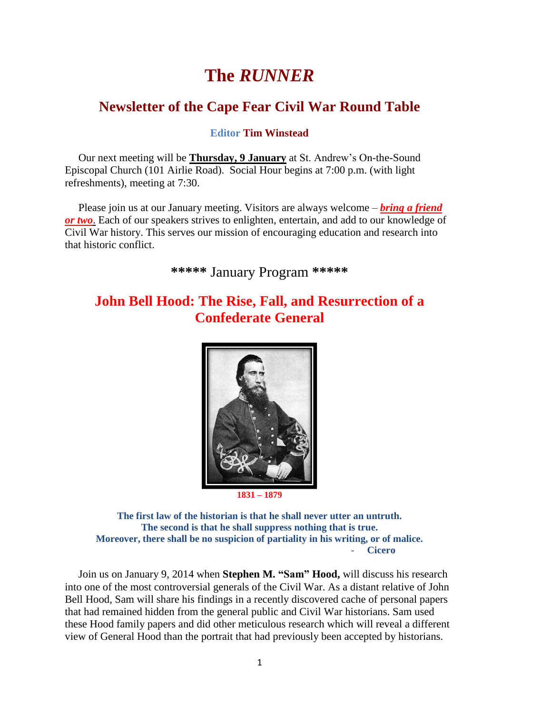# **The** *RUNNER*

## **Newsletter of the Cape Fear Civil War Round Table**

**Editor Tim Winstead**

 Our next meeting will be **Thursday, 9 January** at St. Andrew's On-the-Sound Episcopal Church (101 Airlie Road). Social Hour begins at 7:00 p.m. (with light refreshments), meeting at 7:30.

Please join us at our January meeting. Visitors are always welcome – *bring a friend or two*. Each of our speakers strives to enlighten, entertain, and add to our knowledge of Civil War history. This serves our mission of encouraging education and research into that historic conflict.

**\*\*\*\*\*** January Program **\*\*\*\*\***

## **John Bell Hood: The Rise, Fall, and Resurrection of a Confederate General**



**1831 – 1879**

**The first law of the historian is that he shall never utter an untruth. The second is that he shall suppress nothing that is true. Moreover, there shall be no suspicion of partiality in his writing, or of malice.** - **Cicero**

 Join us on January 9, 2014 when **Stephen M. "Sam" Hood,** will discuss his research into one of the most controversial generals of the Civil War. As a distant relative of John Bell Hood, Sam will share his findings in a recently discovered cache of personal papers that had remained hidden from the general public and Civil War historians. Sam used these Hood family papers and did other meticulous research which will reveal a different view of General Hood than the portrait that had previously been accepted by historians.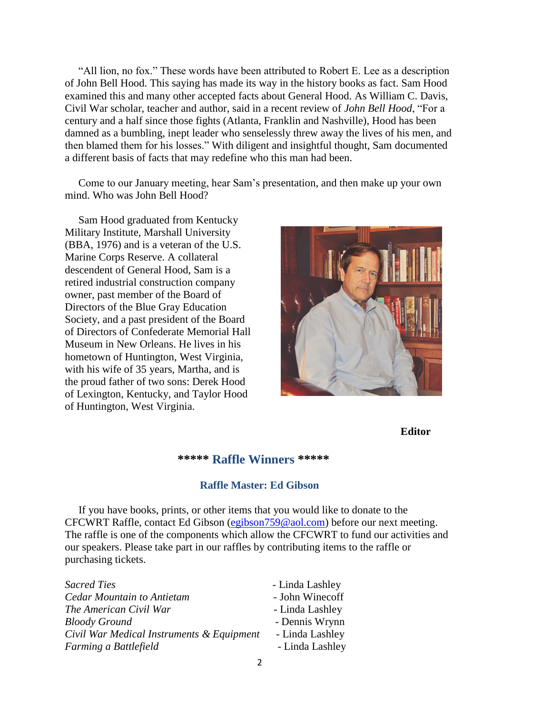"All lion, no fox." These words have been attributed to Robert E. Lee as a description of John Bell Hood. This saying has made its way in the history books as fact. Sam Hood examined this and many other accepted facts about General Hood. As William C. Davis, Civil War scholar, teacher and author, said in a recent review of *John Bell Hood*, "For a century and a half since those fights (Atlanta, Franklin and Nashville), Hood has been damned as a bumbling, inept leader who senselessly threw away the lives of his men, and then blamed them for his losses." With diligent and insightful thought, Sam documented a different basis of facts that may redefine who this man had been.

 Come to our January meeting, hear Sam's presentation, and then make up your own mind. Who was John Bell Hood?

 Sam Hood graduated from Kentucky Military Institute, Marshall University (BBA, 1976) and is a veteran of the U.S. Marine Corps Reserve. A collateral descendent of General Hood, Sam is a retired industrial construction company owner, past member of the Board of Directors of the Blue Gray Education Society, and a past president of the Board of Directors of Confederate Memorial Hall Museum in New Orleans. He lives in his hometown of Huntington, West Virginia, with his wife of 35 years, Martha, and is the proud father of two sons: Derek Hood of Lexington, Kentucky, and Taylor Hood of Huntington, West Virginia.



**Editor**

#### **\*\*\*\*\* Raffle Winners \*\*\*\*\***

#### **Raffle Master: Ed Gibson**

If you have books, prints, or other items that you would like to donate to the CFCWRT Raffle, contact Ed Gibson [\(egibson759@aol.com\)](mailto:egibson759@aol.com) before our next meeting. The raffle is one of the components which allow the CFCWRT to fund our activities and our speakers. Please take part in our raffles by contributing items to the raffle or purchasing tickets.

| Sacred Ties                               | - Linda Lashley |
|-------------------------------------------|-----------------|
| Cedar Mountain to Antietam                | - John Winecoff |
| The American Civil War                    | - Linda Lashley |
| Bloody Ground                             | - Dennis Wrynn  |
| Civil War Medical Instruments & Equipment | - Linda Lashley |
| Farming a Battlefield                     | - Linda Lashley |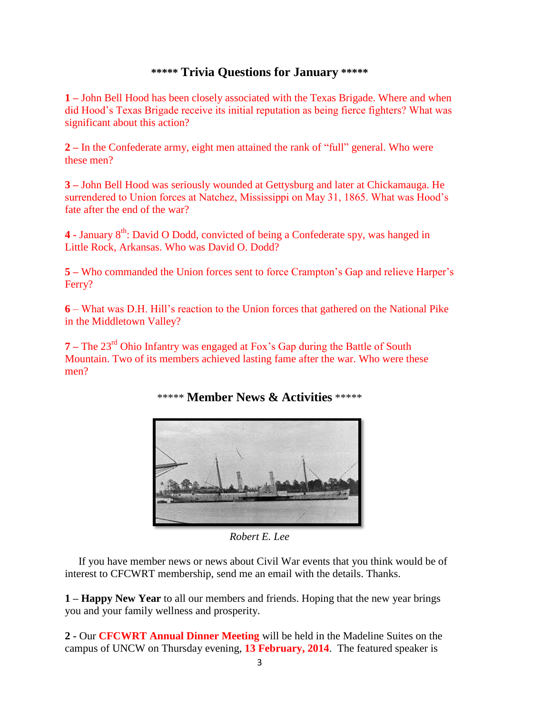### **\*\*\*\*\* Trivia Questions for January \*\*\*\*\***

**1 –** John Bell Hood has been closely associated with the Texas Brigade. Where and when did Hood's Texas Brigade receive its initial reputation as being fierce fighters? What was significant about this action?

**2 –** In the Confederate army, eight men attained the rank of "full" general. Who were these men?

**3 –** John Bell Hood was seriously wounded at Gettysburg and later at Chickamauga. He surrendered to Union forces at Natchez, Mississippi on May 31, 1865. What was Hood's fate after the end of the war?

**4 -** January 8th: David O Dodd, convicted of being a Confederate spy, was hanged in Little Rock, Arkansas. Who was David O. Dodd?

**5 –** Who commanded the Union forces sent to force Crampton's Gap and relieve Harper's Ferry?

**6** – What was D.H. Hill's reaction to the Union forces that gathered on the National Pike in the Middletown Valley?

**7** – The 23<sup>rd</sup> Ohio Infantry was engaged at Fox's Gap during the Battle of South Mountain. Two of its members achieved lasting fame after the war. Who were these men?



\*\*\*\*\* **Member News & Activities** \*\*\*\*\*

*Robert E. Lee*

 If you have member news or news about Civil War events that you think would be of interest to CFCWRT membership, send me an email with the details. Thanks.

**1 – Happy New Year** to all our members and friends. Hoping that the new year brings you and your family wellness and prosperity.

**2 -** Our **CFCWRT Annual Dinner Meeting** will be held in the Madeline Suites on the campus of UNCW on Thursday evening, **13 February, 2014**. The featured speaker is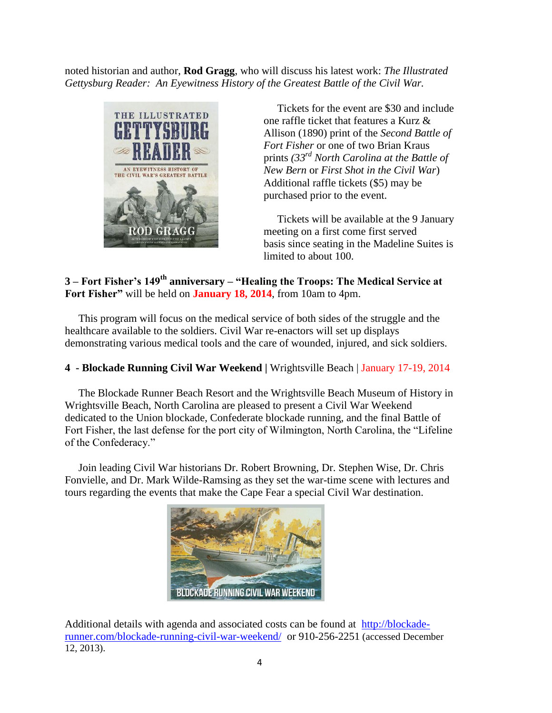noted historian and author, **Rod Gragg**, who will discuss his latest work: *The Illustrated Gettysburg Reader: An Eyewitness History of the Greatest Battle of the Civil War.*



 Tickets for the event are \$30 and include one raffle ticket that features a Kurz & Allison (1890) print of the *Second Battle of Fort Fisher* or one of two Brian Kraus prints *(33rd North Carolina at the Battle of New Bern* or *First Shot in the Civil War*) Additional raffle tickets (\$5) may be purchased prior to the event.

 Tickets will be available at the 9 January meeting on a first come first served basis since seating in the Madeline Suites is limited to about 100.

### **3 – Fort Fisher's 149th anniversary – "Healing the Troops: The Medical Service at Fort Fisher"** will be held on **January 18, 2014**, from 10am to 4pm.

This program will focus on the medical service of both sides of the struggle and the healthcare available to the soldiers. Civil War re-enactors will set up displays demonstrating various medical tools and the care of wounded, injured, and sick soldiers.

#### **4 - Blockade Running Civil War Weekend |** Wrightsville Beach | January 17-19, 2014

 The Blockade Runner Beach Resort and the Wrightsville Beach Museum of History in Wrightsville Beach, North Carolina are pleased to present a Civil War Weekend dedicated to the Union blockade, Confederate blockade running, and the final Battle of Fort Fisher, the last defense for the port city of Wilmington, North Carolina, the "Lifeline of the Confederacy."

 Join leading Civil War historians Dr. Robert Browning, Dr. Stephen Wise, Dr. Chris Fonvielle, and Dr. Mark Wilde-Ramsing as they set the war-time scene with lectures and tours regarding the events that make the Cape Fear a special Civil War destination.



Additional details with agenda and associated costs can be found at [http://blockade](http://blockade-runner.com/blockade-running-civil-war-weekend/)[runner.com/blockade-running-civil-war-weekend/](http://blockade-runner.com/blockade-running-civil-war-weekend/) or 910-256-2251 (accessed December 12, 2013).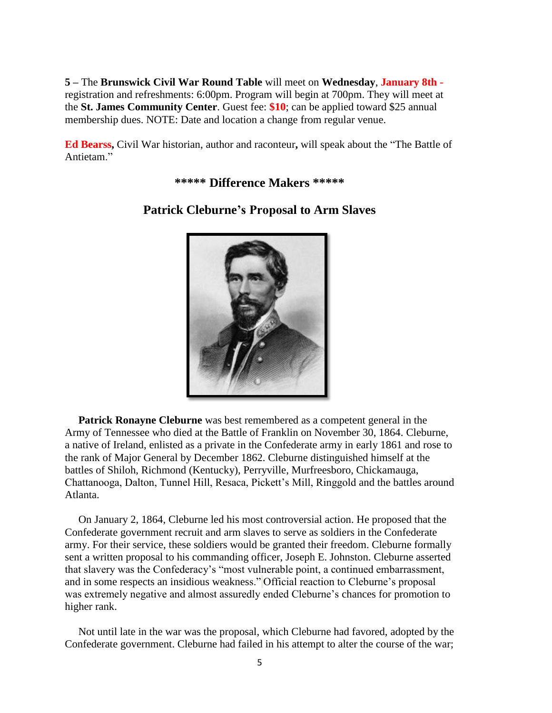**5 –** The **Brunswick Civil War Round Table** will meet on **Wednesday**, **January 8th**  registration and refreshments: 6:00pm. Program will begin at 700pm. They will meet at the **St. James Community Center**. Guest fee: **\$10**; can be applied toward \$25 annual membership dues. NOTE: Date and location a change from regular venue.

**Ed Bearss,** Civil War historian, author and raconteur**,** will speak about the "The Battle of Antietam."

**\*\*\*\*\* Difference Makers \*\*\*\*\***



## **Patrick Cleburne's Proposal to Arm Slaves**

 **Patrick Ronayne Cleburne** was best remembered as a competent general in the Army of Tennessee who died at the Battle of Franklin on November 30, 1864. Cleburne, a native of Ireland, enlisted as a private in the Confederate army in early 1861 and rose to the rank of Major General by December 1862. Cleburne distinguished himself at the battles of Shiloh, Richmond (Kentucky), Perryville, Murfreesboro, Chickamauga, Chattanooga, Dalton, Tunnel Hill, Resaca, Pickett's Mill, Ringgold and the battles around Atlanta.

 On January 2, 1864, Cleburne led his most controversial action. He proposed that the Confederate government recruit and arm slaves to serve as soldiers in the Confederate army. For their service, these soldiers would be granted their freedom. Cleburne formally sent a written proposal to his commanding officer, Joseph E. Johnston. Cleburne asserted that slavery was the Confederacy's "most vulnerable point, a continued embarrassment, and in some respects an insidious weakness." Official reaction to Cleburne's proposal was extremely negative and almost assuredly ended Cleburne's chances for promotion to higher rank.

 Not until late in the war was the proposal, which Cleburne had favored, adopted by the Confederate government. Cleburne had failed in his attempt to alter the course of the war;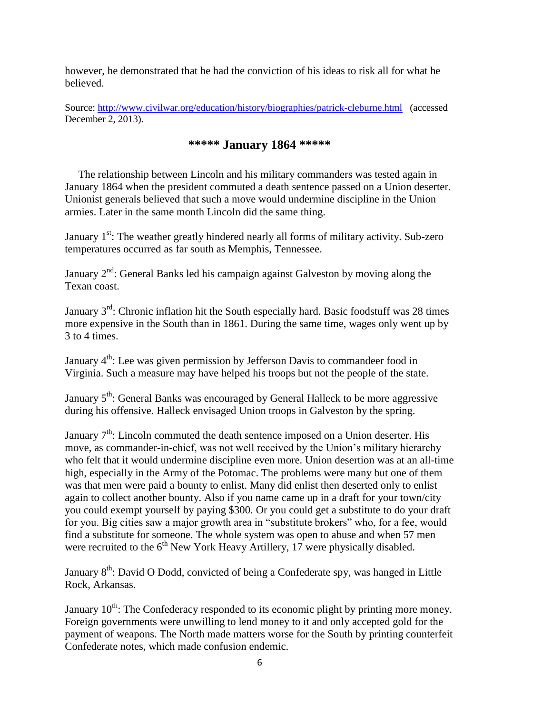however, he demonstrated that he had the conviction of his ideas to risk all for what he believed.

Source:<http://www.civilwar.org/education/history/biographies/patrick-cleburne.html> (accessed December 2, 2013).

## **\*\*\*\*\* January 1864 \*\*\*\*\***

 The relationship between Lincoln and his military commanders was tested again in January 1864 when the president commuted a death sentence passed on a Union deserter. Unionist generals believed that such a move would undermine discipline in the Union armies. Later in the same month Lincoln did the same thing.

January  $1<sup>st</sup>$ : The weather greatly hindered nearly all forms of military activity. Sub-zero temperatures occurred as far south as Memphis, Tennessee.

January  $2<sup>nd</sup>$ : General Banks led his campaign against Galveston by moving along the Texan coast.

January  $3<sup>rd</sup>$ : Chronic inflation hit the South especially hard. Basic foodstuff was 28 times more expensive in the South than in 1861. During the same time, wages only went up by 3 to 4 times.

January  $4<sup>th</sup>$ : Lee was given permission by Jefferson Davis to commandeer food in Virginia. Such a measure may have helped his troops but not the people of the state.

January  $5<sup>th</sup>$ : General Banks was encouraged by General Halleck to be more aggressive during his offensive. Halleck envisaged Union troops in Galveston by the spring.

January 7<sup>th</sup>: Lincoln commuted the death sentence imposed on a Union deserter. His move, as commander-in-chief, was not well received by the Union's military hierarchy who felt that it would undermine discipline even more. Union desertion was at an all-time high, especially in the Army of the Potomac. The problems were many but one of them was that men were paid a bounty to enlist. Many did enlist then deserted only to enlist again to collect another bounty. Also if you name came up in a draft for your town/city you could exempt yourself by paying \$300. Or you could get a substitute to do your draft for you. Big cities saw a major growth area in "substitute brokers" who, for a fee, would find a substitute for someone. The whole system was open to abuse and when 57 men were recruited to the  $6<sup>th</sup>$  New York Heavy Artillery, 17 were physically disabled.

January 8<sup>th</sup>: David O Dodd, convicted of being a Confederate spy, was hanged in Little Rock, Arkansas.

January  $10<sup>th</sup>$ : The Confederacy responded to its economic plight by printing more money. Foreign governments were unwilling to lend money to it and only accepted gold for the payment of weapons. The North made matters worse for the South by printing counterfeit Confederate notes, which made confusion endemic.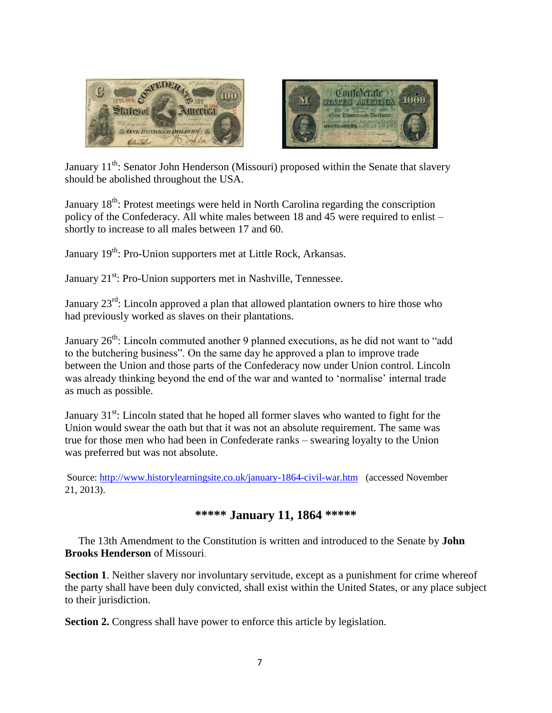



January 11<sup>th</sup>: Senator John Henderson (Missouri) proposed within the Senate that slavery should be abolished throughout the USA.

January 18<sup>th</sup>: Protest meetings were held in North Carolina regarding the conscription policy of the Confederacy. All white males between 18 and 45 were required to enlist – shortly to increase to all males between 17 and 60.

January 19<sup>th</sup>: Pro-Union supporters met at Little Rock, Arkansas.

January 21<sup>st</sup>: Pro-Union supporters met in Nashville, Tennessee.

January 23<sup>rd</sup>: Lincoln approved a plan that allowed plantation owners to hire those who had previously worked as slaves on their plantations.

January 26<sup>th</sup>: Lincoln commuted another 9 planned executions, as he did not want to "add to the butchering business". On the same day he approved a plan to improve trade between the Union and those parts of the Confederacy now under Union control. Lincoln was already thinking beyond the end of the war and wanted to 'normalise' internal trade as much as possible.

January  $31<sup>st</sup>$ : Lincoln stated that he hoped all former slaves who wanted to fight for the Union would swear the oath but that it was not an absolute requirement. The same was true for those men who had been in Confederate ranks – swearing loyalty to the Union was preferred but was not absolute.

Source:<http://www.historylearningsite.co.uk/january-1864-civil-war.htm> (accessed November 21, 2013).

#### **\*\*\*\*\* January 11, 1864 \*\*\*\*\***

 The 13th Amendment to the Constitution is written and introduced to the Senate by **John Brooks Henderson** of Missouri.

**Section 1**. Neither slavery nor involuntary servitude, except as a punishment for crime whereof the party shall have been duly convicted, shall exist within the United States, or any place subject to their jurisdiction.

**Section 2.** Congress shall have power to enforce this article by legislation.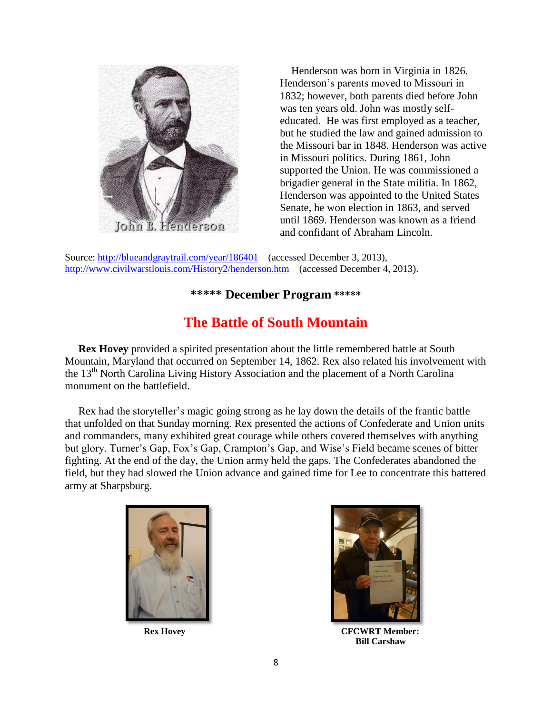

 Henderson was born in Virginia in 1826. Henderson's parents moved to Missouri in 1832; however, both parents died before John was ten years old. John was mostly selfeducated. He was first employed as a teacher, but he studied the law and gained admission to the Missouri bar in 1848. Henderson was active in Missouri politics. During 1861, John supported the Union. He was commissioned a brigadier general in the State militia. In 1862, Henderson was appointed to the United States Senate, he won election in 1863, and served until 1869. Henderson was known as a friend and confidant of Abraham Lincoln.

Source:<http://blueandgraytrail.com/year/186401> (accessed December 3, 2013), <http://www.civilwarstlouis.com/History2/henderson.htm> (accessed December 4, 2013).

## **\*\*\*\*\* December Program \*\*\*\*\***

## **The Battle of South Mountain**

**Rex Hovey** provided a spirited presentation about the little remembered battle at South Mountain, Maryland that occurred on September 14, 1862. Rex also related his involvement with the 13<sup>th</sup> North Carolina Living History Association and the placement of a North Carolina monument on the battlefield.

 Rex had the storyteller's magic going strong as he lay down the details of the frantic battle that unfolded on that Sunday morning. Rex presented the actions of Confederate and Union units and commanders, many exhibited great courage while others covered themselves with anything but glory. Turner's Gap, Fox's Gap, Crampton's Gap, and Wise's Field became scenes of bitter fighting. At the end of the day, the Union army held the gaps. The Confederates abandoned the field, but they had slowed the Union advance and gained time for Lee to concentrate this battered army at Sharpsburg.





**Rex Hovey CFCWRT Member: Bill Carshaw**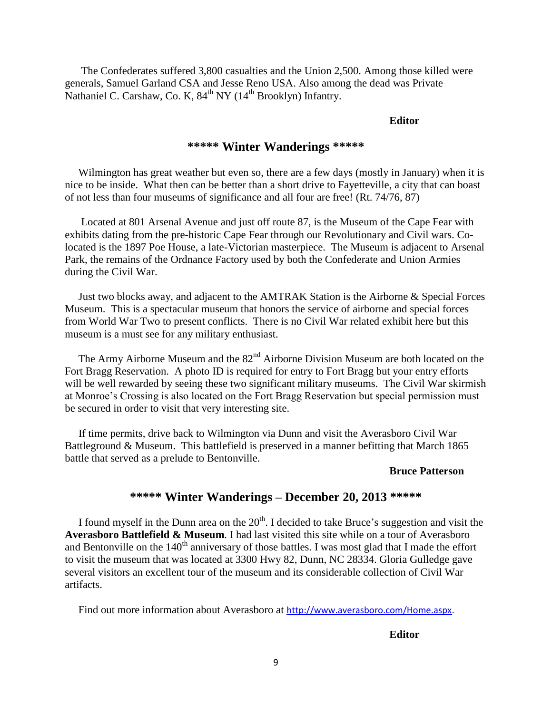The Confederates suffered 3,800 casualties and the Union 2,500. Among those killed were generals, Samuel Garland CSA and Jesse Reno USA. Also among the dead was Private Nathaniel C. Carshaw, Co. K, 84<sup>th</sup> NY (14<sup>th</sup> Brooklyn) Infantry.

#### **Editor**

### **\*\*\*\*\* Winter Wanderings \*\*\*\*\***

 Wilmington has great weather but even so, there are a few days (mostly in January) when it is nice to be inside. What then can be better than a short drive to Fayetteville, a city that can boast of not less than four museums of significance and all four are free! (Rt. 74/76, 87)

 Located at 801 Arsenal Avenue and just off route 87, is the Museum of the Cape Fear with exhibits dating from the pre-historic Cape Fear through our Revolutionary and Civil wars. Colocated is the 1897 Poe House, a late-Victorian masterpiece. The Museum is adjacent to Arsenal Park, the remains of the Ordnance Factory used by both the Confederate and Union Armies during the Civil War.

 Just two blocks away, and adjacent to the AMTRAK Station is the Airborne & Special Forces Museum. This is a spectacular museum that honors the service of airborne and special forces from World War Two to present conflicts. There is no Civil War related exhibit here but this museum is a must see for any military enthusiast.

The Army Airborne Museum and the  $82<sup>nd</sup>$  Airborne Division Museum are both located on the Fort Bragg Reservation. A photo ID is required for entry to Fort Bragg but your entry efforts will be well rewarded by seeing these two significant military museums. The Civil War skirmish at Monroe's Crossing is also located on the Fort Bragg Reservation but special permission must be secured in order to visit that very interesting site.

 If time permits, drive back to Wilmington via Dunn and visit the Averasboro Civil War Battleground & Museum. This battlefield is preserved in a manner befitting that March 1865 battle that served as a prelude to Bentonville.

#### **Bruce Patterson**

#### **\*\*\*\*\* Winter Wanderings – December 20, 2013 \*\*\*\*\***

I found myself in the Dunn area on the  $20<sup>th</sup>$ . I decided to take Bruce's suggestion and visit the **Averasboro Battlefield & Museum**. I had last visited this site while on a tour of Averasboro and Bentonville on the  $140<sup>th</sup>$  anniversary of those battles. I was most glad that I made the effort to visit the museum that was located at 3300 Hwy 82, Dunn, NC 28334. Gloria Gulledge gave several visitors an excellent tour of the museum and its considerable collection of Civil War artifacts.

Find out more information about Averasboro at [http://www.averasboro.com/Home.aspx.](http://www.averasboro.com/Home.aspx)

**Editor**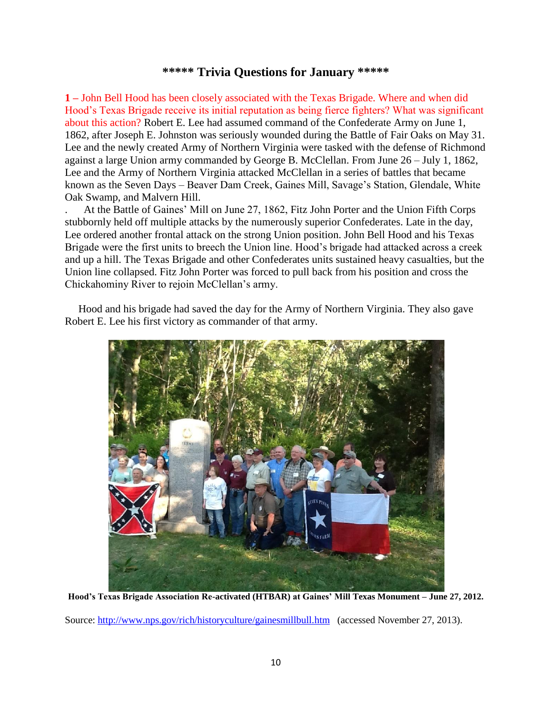#### **\*\*\*\*\* Trivia Questions for January \*\*\*\*\***

**1 –** John Bell Hood has been closely associated with the Texas Brigade. Where and when did Hood's Texas Brigade receive its initial reputation as being fierce fighters? What was significant about this action? Robert E. Lee had assumed command of the Confederate Army on June 1, 1862, after Joseph E. Johnston was seriously wounded during the Battle of Fair Oaks on May 31. Lee and the newly created Army of Northern Virginia were tasked with the defense of Richmond against a large Union army commanded by George B. McClellan. From June 26 – July 1, 1862, Lee and the Army of Northern Virginia attacked McClellan in a series of battles that became known as the Seven Days – Beaver Dam Creek, Gaines Mill, Savage's Station, Glendale, White Oak Swamp, and Malvern Hill.

. At the Battle of Gaines' Mill on June 27, 1862, Fitz John Porter and the Union Fifth Corps stubbornly held off multiple attacks by the numerously superior Confederates. Late in the day, Lee ordered another frontal attack on the strong Union position. John Bell Hood and his Texas Brigade were the first units to breech the Union line. Hood's brigade had attacked across a creek and up a hill. The Texas Brigade and other Confederates units sustained heavy casualties, but the Union line collapsed. Fitz John Porter was forced to pull back from his position and cross the Chickahominy River to rejoin McClellan's army.

 Hood and his brigade had saved the day for the Army of Northern Virginia. They also gave Robert E. Lee his first victory as commander of that army.



**Hood's Texas Brigade Association Re-activated (HTBAR) at Gaines' Mill Texas Monument – June 27, 2012.**

Source:<http://www.nps.gov/rich/historyculture/gainesmillbull.htm> (accessed November 27, 2013).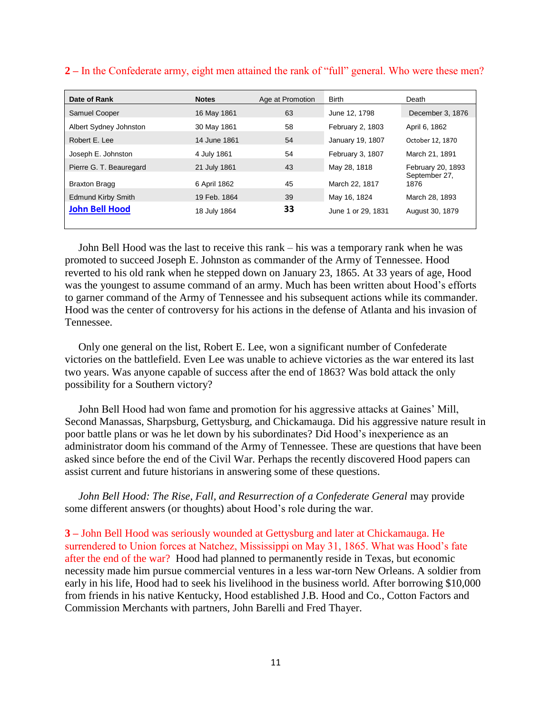| Date of Rank              | <b>Notes</b> | Age at Promotion | <b>Birth</b>       | Death                 |
|---------------------------|--------------|------------------|--------------------|-----------------------|
| <b>Samuel Cooper</b>      | 16 May 1861  | 63               | June 12, 1798      | December 3, 1876      |
| Albert Sydney Johnston    | 30 May 1861  | 58               | February 2, 1803   | April 6, 1862         |
| Robert E. Lee             | 14 June 1861 | 54               | January 19, 1807   | October 12, 1870      |
| Joseph E. Johnston        | 4 July 1861  | 54               | February 3, 1807   | March 21, 1891        |
| Pierre G. T. Beauregard   | 21 July 1861 | 43               | May 28, 1818       | February 20, 1893     |
| <b>Braxton Bragg</b>      | 6 April 1862 | 45               | March 22, 1817     | September 27,<br>1876 |
| <b>Edmund Kirby Smith</b> | 19 Feb. 1864 | 39               | May 16, 1824       | March 28, 1893        |
| <b>John Bell Hood</b>     | 18 July 1864 | 33               | June 1 or 29, 1831 | August 30, 1879       |
|                           |              |                  |                    |                       |

#### **2 –** In the Confederate army, eight men attained the rank of "full" general. Who were these men?

John Bell Hood was the last to receive this rank – his was a temporary rank when he was promoted to succeed Joseph E. Johnston as commander of the Army of Tennessee. Hood reverted to his old rank when he stepped down on January 23, 1865. At 33 years of age, Hood was the youngest to assume command of an army. Much has been written about Hood's efforts to garner command of the Army of Tennessee and his subsequent actions while its commander. Hood was the center of controversy for his actions in the defense of Atlanta and his invasion of Tennessee.

 Only one general on the list, Robert E. Lee, won a significant number of Confederate victories on the battlefield. Even Lee was unable to achieve victories as the war entered its last two years. Was anyone capable of success after the end of 1863? Was bold attack the only possibility for a Southern victory?

 John Bell Hood had won fame and promotion for his aggressive attacks at Gaines' Mill, Second Manassas, Sharpsburg, Gettysburg, and Chickamauga. Did his aggressive nature result in poor battle plans or was he let down by his subordinates? Did Hood's inexperience as an administrator doom his command of the Army of Tennessee. These are questions that have been asked since before the end of the Civil War. Perhaps the recently discovered Hood papers can assist current and future historians in answering some of these questions.

*John Bell Hood: The Rise, Fall, and Resurrection of a Confederate General may provide* some different answers (or thoughts) about Hood's role during the war.

**3 –** John Bell Hood was seriously wounded at Gettysburg and later at Chickamauga. He surrendered to Union forces at Natchez, Mississippi on May 31, 1865. What was Hood's fate after the end of the war? Hood had planned to permanently reside in Texas, but economic necessity made him pursue commercial ventures in a less war-torn New Orleans. A soldier from early in his life, Hood had to seek his livelihood in the business world. After borrowing \$10,000 from friends in his native Kentucky, Hood established J.B. Hood and Co., Cotton Factors and Commission Merchants with partners, John Barelli and Fred Thayer.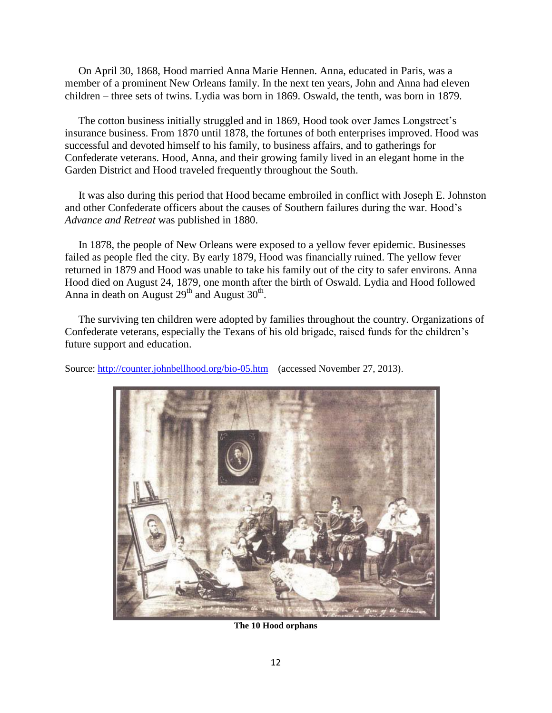On April 30, 1868, Hood married Anna Marie Hennen. Anna, educated in Paris, was a member of a prominent New Orleans family. In the next ten years, John and Anna had eleven children – three sets of twins. Lydia was born in 1869. Oswald, the tenth, was born in 1879.

 The cotton business initially struggled and in 1869, Hood took over James Longstreet's insurance business. From 1870 until 1878, the fortunes of both enterprises improved. Hood was successful and devoted himself to his family, to business affairs, and to gatherings for Confederate veterans. Hood, Anna, and their growing family lived in an elegant home in the Garden District and Hood traveled frequently throughout the South.

 It was also during this period that Hood became embroiled in conflict with Joseph E. Johnston and other Confederate officers about the causes of Southern failures during the war. Hood's *Advance and Retreat* was published in 1880.

 In 1878, the people of New Orleans were exposed to a yellow fever epidemic. Businesses failed as people fled the city. By early 1879, Hood was financially ruined. The yellow fever returned in 1879 and Hood was unable to take his family out of the city to safer environs. Anna Hood died on August 24, 1879, one month after the birth of Oswald. Lydia and Hood followed Anna in death on August  $29<sup>th</sup>$  and August  $30<sup>th</sup>$ .

 The surviving ten children were adopted by families throughout the country. Organizations of Confederate veterans, especially the Texans of his old brigade, raised funds for the children's future support and education.

Source:<http://counter.johnbellhood.org/bio-05.htm> (accessed November 27, 2013).



**The 10 Hood orphans**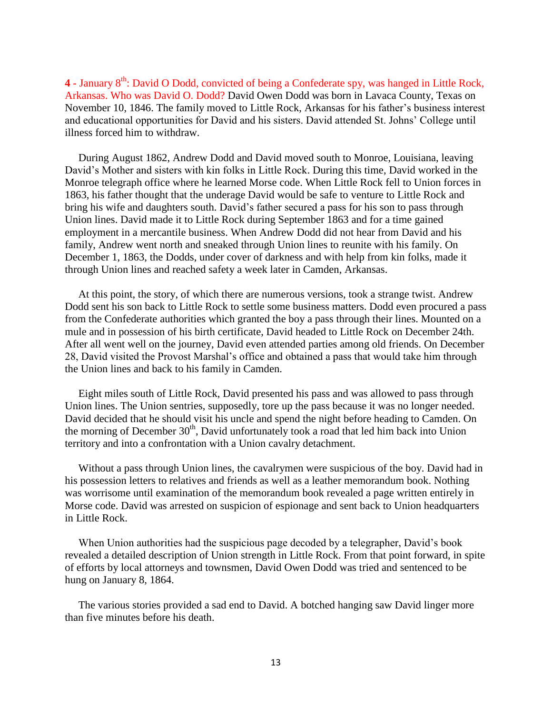4 - January 8<sup>th</sup>: David O Dodd, convicted of being a Confederate spy, was hanged in Little Rock, Arkansas. Who was David O. Dodd? David Owen Dodd was born in Lavaca County, Texas on November 10, 1846. The family moved to Little Rock, Arkansas for his father's business interest and educational opportunities for David and his sisters. David attended St. Johns' College until illness forced him to withdraw.

 During August 1862, Andrew Dodd and David moved south to Monroe, Louisiana, leaving David's Mother and sisters with kin folks in Little Rock. During this time, David worked in the Monroe telegraph office where he learned Morse code. When Little Rock fell to Union forces in 1863, his father thought that the underage David would be safe to venture to Little Rock and bring his wife and daughters south. David's father secured a pass for his son to pass through Union lines. David made it to Little Rock during September 1863 and for a time gained employment in a mercantile business. When Andrew Dodd did not hear from David and his family, Andrew went north and sneaked through Union lines to reunite with his family. On December 1, 1863, the Dodds, under cover of darkness and with help from kin folks, made it through Union lines and reached safety a week later in Camden, Arkansas.

 At this point, the story, of which there are numerous versions, took a strange twist. Andrew Dodd sent his son back to Little Rock to settle some business matters. Dodd even procured a pass from the Confederate authorities which granted the boy a pass through their lines. Mounted on a mule and in possession of his birth certificate, David headed to Little Rock on December 24th. After all went well on the journey, David even attended parties among old friends. On December 28, David visited the Provost Marshal's office and obtained a pass that would take him through the Union lines and back to his family in Camden.

 Eight miles south of Little Rock, David presented his pass and was allowed to pass through Union lines. The Union sentries, supposedly, tore up the pass because it was no longer needed. David decided that he should visit his uncle and spend the night before heading to Camden. On the morning of December 30<sup>th</sup>, David unfortunately took a road that led him back into Union territory and into a confrontation with a Union cavalry detachment.

 Without a pass through Union lines, the cavalrymen were suspicious of the boy. David had in his possession letters to relatives and friends as well as a leather memorandum book. Nothing was worrisome until examination of the memorandum book revealed a page written entirely in Morse code. David was arrested on suspicion of espionage and sent back to Union headquarters in Little Rock.

 When Union authorities had the suspicious page decoded by a telegrapher, David's book revealed a detailed description of Union strength in Little Rock. From that point forward, in spite of efforts by local attorneys and townsmen, David Owen Dodd was tried and sentenced to be hung on January 8, 1864.

 The various stories provided a sad end to David. A botched hanging saw David linger more than five minutes before his death.